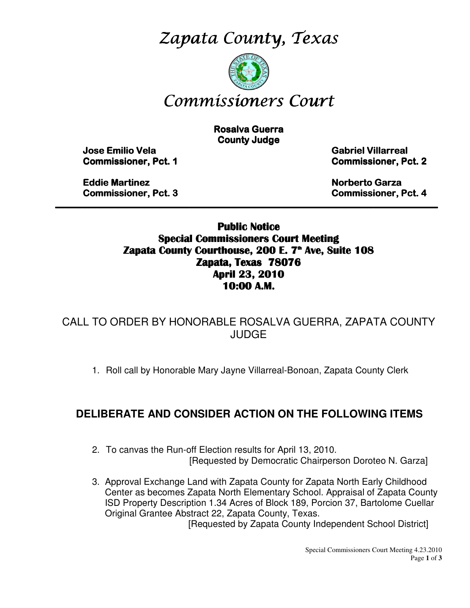Zapata County, Texas



# Commissioners Court

**Rosalva Guerra County Judge** 

 Jose Emilio Vela Emilio Vela Vela Gabriel Villarreal Villarreal Villarreal **Commissioner, Pct. 1 Commissioner, Pct. 2** 

Eddie Martinez **Eddie Martinez Artistic Eddie Martinez Artistic Garza** Garza Garza Garza Garza Garza Garza Garza Garza Garza Garza Garza Garza Garza Garza Garza Garza Garza Garza Garza Garza Garza Garza Garza Garza Garza G Commissioner, Pct. 3 3 Commissioner, Pct. 4

Public Notice Special Commissioners Court Meeting Zapata County Courthouse, 200 E. 7<sup>th</sup> Ave, Suite 108 Zapata, Texas 78076 April 23, 2010 10:00 A.M.

\_\_\_\_\_\_\_\_\_\_\_\_\_\_\_\_\_\_\_\_\_\_\_\_\_\_\_\_\_\_\_\_\_\_\_\_\_\_\_\_\_\_\_\_\_\_\_\_\_\_\_\_\_\_\_\_\_\_\_\_\_\_\_\_\_\_\_\_\_\_\_\_\_\_\_\_\_\_\_\_\_\_\_

CALL TO ORDER BY HONORABLE ROSALVA GUERRA, ZAPATA COUNTY JUDGE

1. Roll call by Honorable Mary Jayne Villarreal-Bonoan, Zapata County Clerk

### **DELIBERATE AND CONSIDER ACTION ON THE FOLLOWING ITEMS**

- 2. To canvas the Run-off Election results for April 13, 2010. [Requested by Democratic Chairperson Doroteo N. Garza]
- 3. Approval Exchange Land with Zapata County for Zapata North Early Childhood Center as becomes Zapata North Elementary School. Appraisal of Zapata County ISD Property Description 1.34 Acres of Block 189, Porcion 37, Bartolome Cuellar Original Grantee Abstract 22, Zapata County, Texas.

[Requested by Zapata County Independent School District]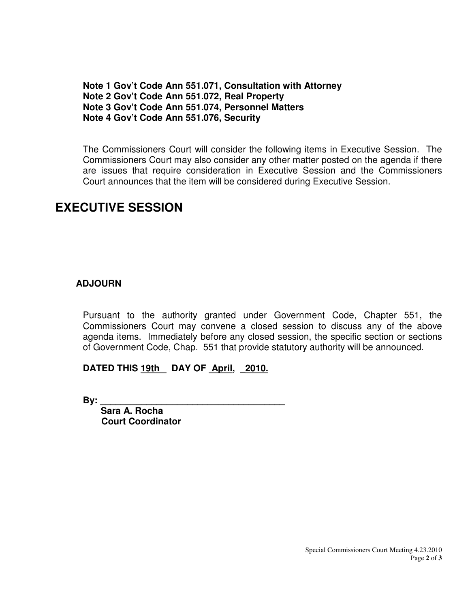**Note 1 Gov't Code Ann 551.071, Consultation with Attorney Note 2 Gov't Code Ann 551.072, Real Property Note 3 Gov't Code Ann 551.074, Personnel Matters Note 4 Gov't Code Ann 551.076, Security** 

The Commissioners Court will consider the following items in Executive Session. The Commissioners Court may also consider any other matter posted on the agenda if there are issues that require consideration in Executive Session and the Commissioners Court announces that the item will be considered during Executive Session.

## **EXECUTIVE SESSION**

#### **ADJOURN**

Pursuant to the authority granted under Government Code, Chapter 551, the Commissioners Court may convene a closed session to discuss any of the above agenda items. Immediately before any closed session, the specific section or sections of Government Code, Chap. 551 that provide statutory authority will be announced.

#### DATED THIS 19th DAY OF April, 2010.

**By: \_\_\_\_\_\_\_\_\_\_\_\_\_\_\_\_\_\_\_\_\_\_\_\_\_\_\_\_\_\_\_\_\_\_\_\_** 

 **Sara A. Rocha Court Coordinator**